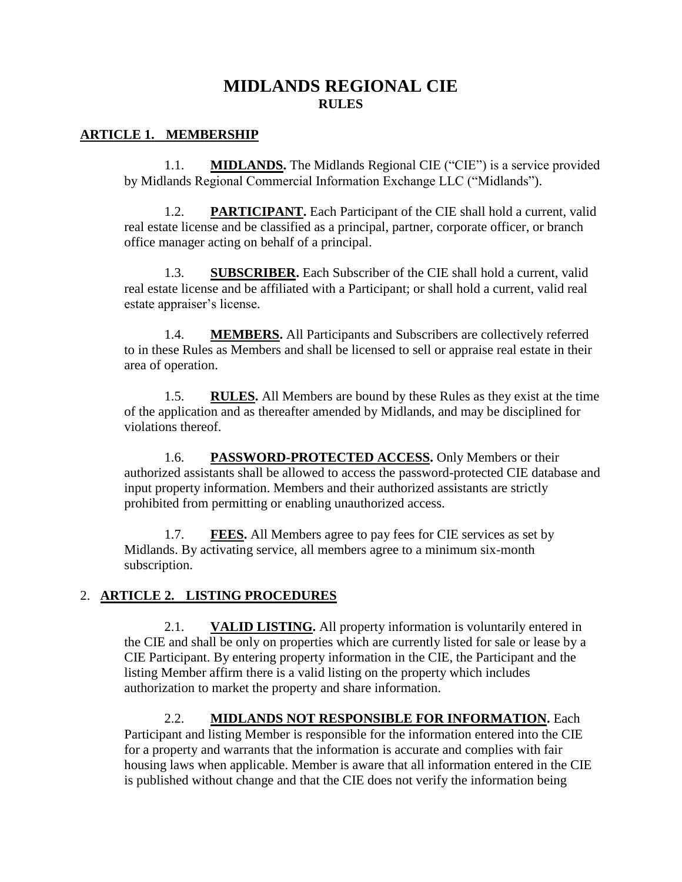# **MIDLANDS REGIONAL CIE RULES**

#### **ARTICLE 1. MEMBERSHIP**

1.1. **MIDLANDS.** The Midlands Regional CIE ("CIE") is a service provided by Midlands Regional Commercial Information Exchange LLC ("Midlands").

1.2. **PARTICIPANT.** Each Participant of the CIE shall hold a current, valid real estate license and be classified as a principal, partner, corporate officer, or branch office manager acting on behalf of a principal.

1.3. **SUBSCRIBER.** Each Subscriber of the CIE shall hold a current, valid real estate license and be affiliated with a Participant; or shall hold a current, valid real estate appraiser's license.

1.4. **MEMBERS.** All Participants and Subscribers are collectively referred to in these Rules as Members and shall be licensed to sell or appraise real estate in their area of operation.

1.5. **RULES.** All Members are bound by these Rules as they exist at the time of the application and as thereafter amended by Midlands, and may be disciplined for violations thereof.

1.6. **PASSWORD-PROTECTED ACCESS.** Only Members or their authorized assistants shall be allowed to access the password-protected CIE database and input property information. Members and their authorized assistants are strictly prohibited from permitting or enabling unauthorized access.

1.7. **FEES.** All Members agree to pay fees for CIE services as set by Midlands. By activating service, all members agree to a minimum six-month subscription.

#### 2. **ARTICLE 2. LISTING PROCEDURES**

2.1. **VALID LISTING.** All property information is voluntarily entered in the CIE and shall be only on properties which are currently listed for sale or lease by a CIE Participant. By entering property information in the CIE, the Participant and the listing Member affirm there is a valid listing on the property which includes authorization to market the property and share information.

2.2. **MIDLANDS NOT RESPONSIBLE FOR INFORMATION.** Each Participant and listing Member is responsible for the information entered into the CIE for a property and warrants that the information is accurate and complies with fair housing laws when applicable. Member is aware that all information entered in the CIE is published without change and that the CIE does not verify the information being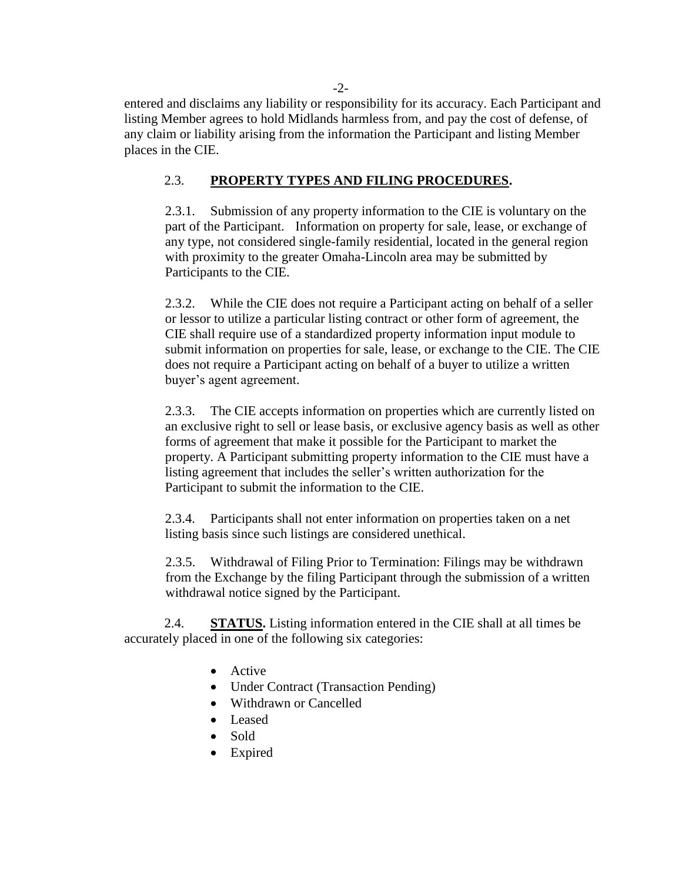entered and disclaims any liability or responsibility for its accuracy. Each Participant and listing Member agrees to hold Midlands harmless from, and pay the cost of defense, of any claim or liability arising from the information the Participant and listing Member places in the CIE.

#### 2.3. **PROPERTY TYPES AND FILING PROCEDURES.**

2.3.1. Submission of any property information to the CIE is voluntary on the part of the Participant. Information on property for sale, lease, or exchange of any type, not considered single-family residential, located in the general region with proximity to the greater Omaha-Lincoln area may be submitted by Participants to the CIE.

2.3.2. While the CIE does not require a Participant acting on behalf of a seller or lessor to utilize a particular listing contract or other form of agreement, the CIE shall require use of a standardized property information input module to submit information on properties for sale, lease, or exchange to the CIE. The CIE does not require a Participant acting on behalf of a buyer to utilize a written buyer's agent agreement.

2.3.3. The CIE accepts information on properties which are currently listed on an exclusive right to sell or lease basis, or exclusive agency basis as well as other forms of agreement that make it possible for the Participant to market the property. A Participant submitting property information to the CIE must have a listing agreement that includes the seller's written authorization for the Participant to submit the information to the CIE.

2.3.4. Participants shall not enter information on properties taken on a net listing basis since such listings are considered unethical.

2.3.5. Withdrawal of Filing Prior to Termination: Filings may be withdrawn from the Exchange by the filing Participant through the submission of a written withdrawal notice signed by the Participant.

2.4. **STATUS.** Listing information entered in the CIE shall at all times be accurately placed in one of the following six categories:

- Active
- Under Contract (Transaction Pending)
- Withdrawn or Cancelled
- Leased
- Sold
- Expired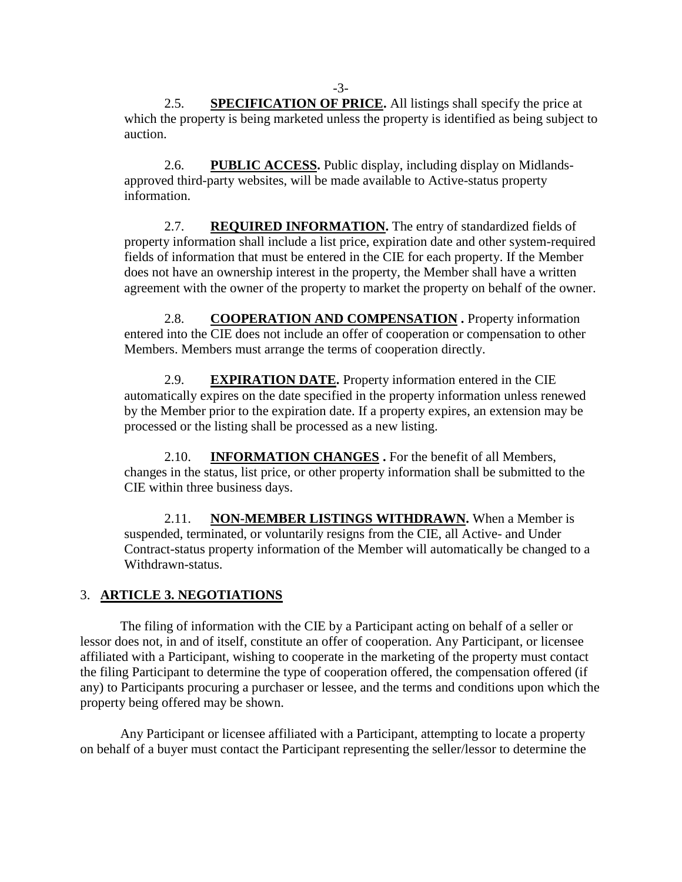2.5. **SPECIFICATION OF PRICE.** All listings shall specify the price at which the property is being marketed unless the property is identified as being subject to auction.

2.6. **PUBLIC ACCESS.** Public display, including display on Midlandsapproved third-party websites, will be made available to Active-status property information.

2.7. **REQUIRED INFORMATION.** The entry of standardized fields of property information shall include a list price, expiration date and other system-required fields of information that must be entered in the CIE for each property. If the Member does not have an ownership interest in the property, the Member shall have a written agreement with the owner of the property to market the property on behalf of the owner.

2.8. **COOPERATION AND COMPENSATION .** Property information entered into the CIE does not include an offer of cooperation or compensation to other Members. Members must arrange the terms of cooperation directly.

2.9. **EXPIRATION DATE.** Property information entered in the CIE automatically expires on the date specified in the property information unless renewed by the Member prior to the expiration date. If a property expires, an extension may be processed or the listing shall be processed as a new listing.

2.10. **INFORMATION CHANGES .** For the benefit of all Members, changes in the status, list price, or other property information shall be submitted to the CIE within three business days.

2.11. **NON-MEMBER LISTINGS WITHDRAWN.** When a Member is suspended, terminated, or voluntarily resigns from the CIE, all Active- and Under Contract-status property information of the Member will automatically be changed to a Withdrawn-status.

#### 3. **ARTICLE 3. NEGOTIATIONS**

The filing of information with the CIE by a Participant acting on behalf of a seller or lessor does not, in and of itself, constitute an offer of cooperation. Any Participant, or licensee affiliated with a Participant, wishing to cooperate in the marketing of the property must contact the filing Participant to determine the type of cooperation offered, the compensation offered (if any) to Participants procuring a purchaser or lessee, and the terms and conditions upon which the property being offered may be shown.

Any Participant or licensee affiliated with a Participant, attempting to locate a property on behalf of a buyer must contact the Participant representing the seller/lessor to determine the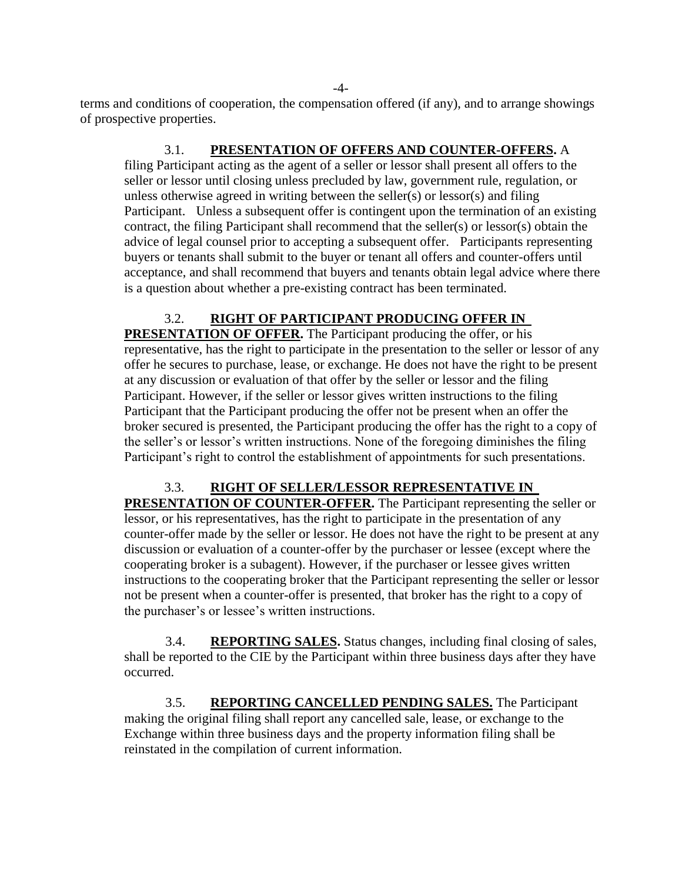terms and conditions of cooperation, the compensation offered (if any), and to arrange showings of prospective properties.

#### 3.1. **PRESENTATION OF OFFERS AND COUNTER-OFFERS.** A

filing Participant acting as the agent of a seller or lessor shall present all offers to the seller or lessor until closing unless precluded by law, government rule, regulation, or unless otherwise agreed in writing between the seller(s) or lessor(s) and filing Participant. Unless a subsequent offer is contingent upon the termination of an existing contract, the filing Participant shall recommend that the seller(s) or lessor(s) obtain the advice of legal counsel prior to accepting a subsequent offer. Participants representing buyers or tenants shall submit to the buyer or tenant all offers and counter-offers until acceptance, and shall recommend that buyers and tenants obtain legal advice where there is a question about whether a pre-existing contract has been terminated.

## 3.2. **RIGHT OF PARTICIPANT PRODUCING OFFER IN**

**PRESENTATION OF OFFER.** The Participant producing the offer, or his representative, has the right to participate in the presentation to the seller or lessor of any offer he secures to purchase, lease, or exchange. He does not have the right to be present at any discussion or evaluation of that offer by the seller or lessor and the filing Participant. However, if the seller or lessor gives written instructions to the filing Participant that the Participant producing the offer not be present when an offer the broker secured is presented, the Participant producing the offer has the right to a copy of the seller's or lessor's written instructions. None of the foregoing diminishes the filing Participant's right to control the establishment of appointments for such presentations.

#### 3.3. **RIGHT OF SELLER/LESSOR REPRESENTATIVE IN**

**PRESENTATION OF COUNTER-OFFER.** The Participant representing the seller or lessor, or his representatives, has the right to participate in the presentation of any counter-offer made by the seller or lessor. He does not have the right to be present at any discussion or evaluation of a counter-offer by the purchaser or lessee (except where the cooperating broker is a subagent). However, if the purchaser or lessee gives written instructions to the cooperating broker that the Participant representing the seller or lessor not be present when a counter-offer is presented, that broker has the right to a copy of the purchaser's or lessee's written instructions.

3.4. **REPORTING SALES.** Status changes, including final closing of sales, shall be reported to the CIE by the Participant within three business days after they have occurred.

3.5. **REPORTING CANCELLED PENDING SALES.** The Participant making the original filing shall report any cancelled sale, lease, or exchange to the Exchange within three business days and the property information filing shall be reinstated in the compilation of current information.

-4-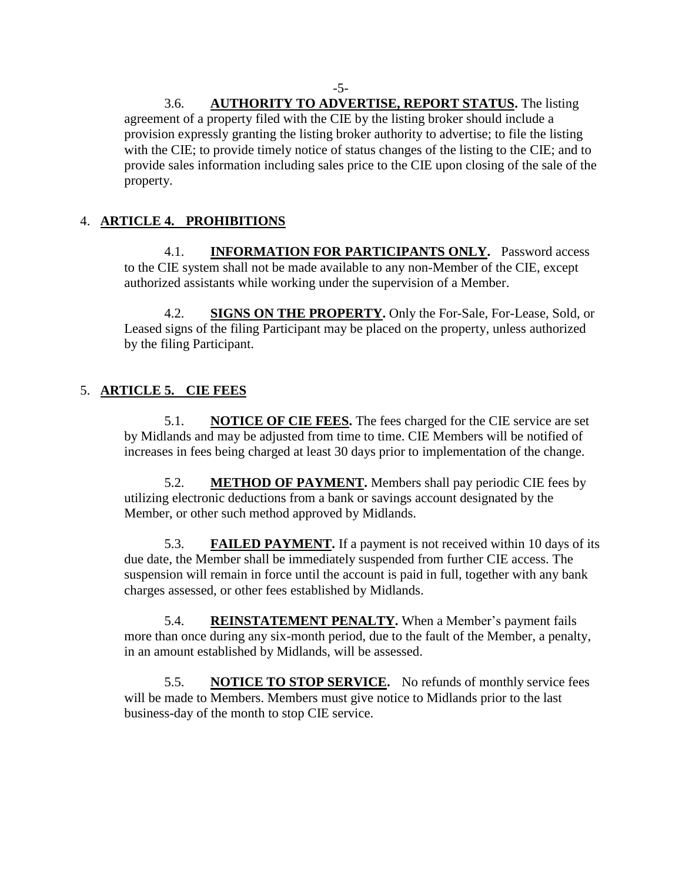3.6. **AUTHORITY TO ADVERTISE, REPORT STATUS.** The listing agreement of a property filed with the CIE by the listing broker should include a provision expressly granting the listing broker authority to advertise; to file the listing with the CIE; to provide timely notice of status changes of the listing to the CIE; and to provide sales information including sales price to the CIE upon closing of the sale of the property.

## 4. **ARTICLE 4. PROHIBITIONS**

4.1. **INFORMATION FOR PARTICIPANTS ONLY.** Password access to the CIE system shall not be made available to any non-Member of the CIE, except authorized assistants while working under the supervision of a Member.

4.2. **SIGNS ON THE PROPERTY.** Only the For-Sale, For-Lease, Sold, or Leased signs of the filing Participant may be placed on the property, unless authorized by the filing Participant.

## 5. **ARTICLE 5. CIE FEES**

5.1. **NOTICE OF CIE FEES.** The fees charged for the CIE service are set by Midlands and may be adjusted from time to time. CIE Members will be notified of increases in fees being charged at least 30 days prior to implementation of the change.

5.2. **METHOD OF PAYMENT.** Members shall pay periodic CIE fees by utilizing electronic deductions from a bank or savings account designated by the Member, or other such method approved by Midlands.

5.3. **FAILED PAYMENT.** If a payment is not received within 10 days of its due date, the Member shall be immediately suspended from further CIE access. The suspension will remain in force until the account is paid in full, together with any bank charges assessed, or other fees established by Midlands.

5.4. **REINSTATEMENT PENALTY.** When a Member's payment fails more than once during any six-month period, due to the fault of the Member, a penalty, in an amount established by Midlands, will be assessed.

5.5. **NOTICE TO STOP SERVICE.** No refunds of monthly service fees will be made to Members. Members must give notice to Midlands prior to the last business-day of the month to stop CIE service.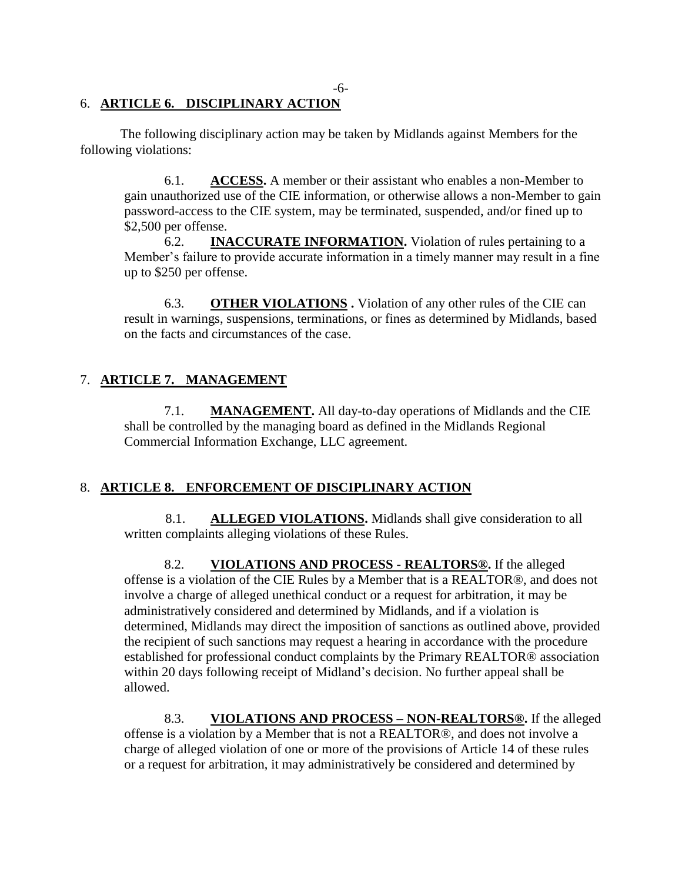## 6. **ARTICLE 6. DISCIPLINARY ACTION**

The following disciplinary action may be taken by Midlands against Members for the following violations:

6.1. **ACCESS.** A member or their assistant who enables a non-Member to gain unauthorized use of the CIE information, or otherwise allows a non-Member to gain password-access to the CIE system, may be terminated, suspended, and/or fined up to \$2,500 per offense.

6.2. **INACCURATE INFORMATION.** Violation of rules pertaining to a Member's failure to provide accurate information in a timely manner may result in a fine up to \$250 per offense.

6.3. **OTHER VIOLATIONS .** Violation of any other rules of the CIE can result in warnings, suspensions, terminations, or fines as determined by Midlands, based on the facts and circumstances of the case.

## 7. **ARTICLE 7. MANAGEMENT**

7.1. **MANAGEMENT.** All day-to-day operations of Midlands and the CIE shall be controlled by the managing board as defined in the Midlands Regional Commercial Information Exchange, LLC agreement.

#### 8. **ARTICLE 8. ENFORCEMENT OF DISCIPLINARY ACTION**

8.1. **ALLEGED VIOLATIONS.** Midlands shall give consideration to all written complaints alleging violations of these Rules.

8.2. **VIOLATIONS AND PROCESS - REALTORS®.** If the alleged offense is a violation of the CIE Rules by a Member that is a REALTOR®, and does not involve a charge of alleged unethical conduct or a request for arbitration, it may be administratively considered and determined by Midlands, and if a violation is determined, Midlands may direct the imposition of sanctions as outlined above, provided the recipient of such sanctions may request a hearing in accordance with the procedure established for professional conduct complaints by the Primary REALTOR® association within 20 days following receipt of Midland's decision. No further appeal shall be allowed.

8.3. **VIOLATIONS AND PROCESS – NON-REALTORS®.** If the alleged offense is a violation by a Member that is not a REALTOR®, and does not involve a charge of alleged violation of one or more of the provisions of Article 14 of these rules or a request for arbitration, it may administratively be considered and determined by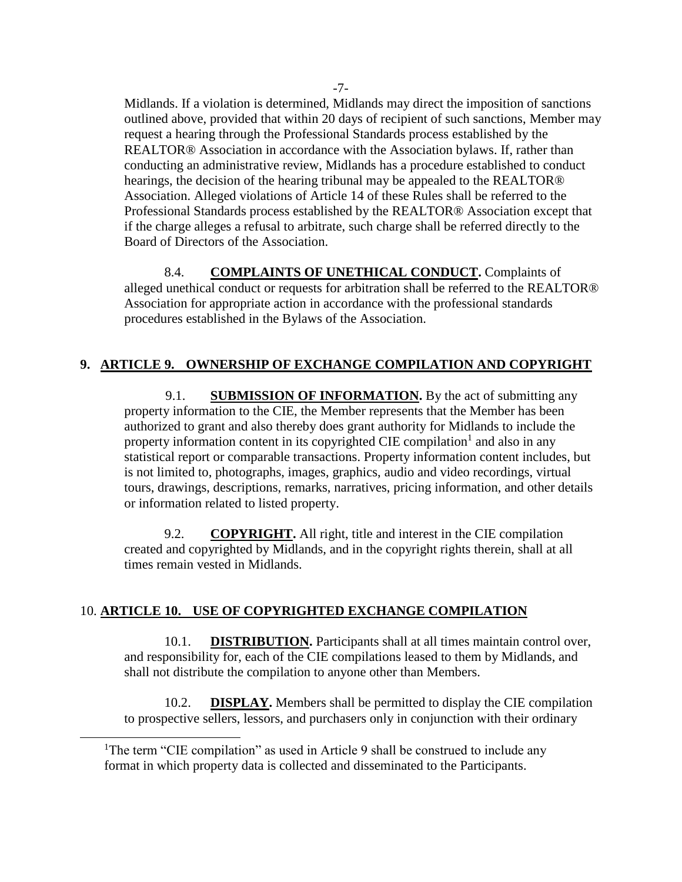Midlands. If a violation is determined, Midlands may direct the imposition of sanctions outlined above, provided that within 20 days of recipient of such sanctions, Member may request a hearing through the Professional Standards process established by the REALTOR® Association in accordance with the Association bylaws. If, rather than conducting an administrative review, Midlands has a procedure established to conduct hearings, the decision of the hearing tribunal may be appealed to the REALTOR® Association. Alleged violations of Article 14 of these Rules shall be referred to the Professional Standards process established by the REALTOR® Association except that if the charge alleges a refusal to arbitrate, such charge shall be referred directly to the Board of Directors of the Association.

8.4. **COMPLAINTS OF UNETHICAL CONDUCT.** Complaints of alleged unethical conduct or requests for arbitration shall be referred to the REALTOR® Association for appropriate action in accordance with the professional standards procedures established in the Bylaws of the Association.

## **9. ARTICLE 9. OWNERSHIP OF EXCHANGE COMPILATION AND COPYRIGHT**

9.1. **SUBMISSION OF INFORMATION.** By the act of submitting any property information to the CIE, the Member represents that the Member has been authorized to grant and also thereby does grant authority for Midlands to include the property information content in its copyrighted CIE compilation<sup>1</sup> and also in any statistical report or comparable transactions. Property information content includes, but is not limited to, photographs, images, graphics, audio and video recordings, virtual tours, drawings, descriptions, remarks, narratives, pricing information, and other details or information related to listed property.

9.2. **COPYRIGHT.** All right, title and interest in the CIE compilation created and copyrighted by Midlands, and in the copyright rights therein, shall at all times remain vested in Midlands.

#### 10. **ARTICLE 10. USE OF COPYRIGHTED EXCHANGE COMPILATION**

 $\overline{a}$ 

10.1. **DISTRIBUTION.** Participants shall at all times maintain control over, and responsibility for, each of the CIE compilations leased to them by Midlands, and shall not distribute the compilation to anyone other than Members.

10.2. **DISPLAY.** Members shall be permitted to display the CIE compilation to prospective sellers, lessors, and purchasers only in conjunction with their ordinary

<sup>&</sup>lt;sup>1</sup>The term "CIE compilation" as used in Article 9 shall be construed to include any format in which property data is collected and disseminated to the Participants.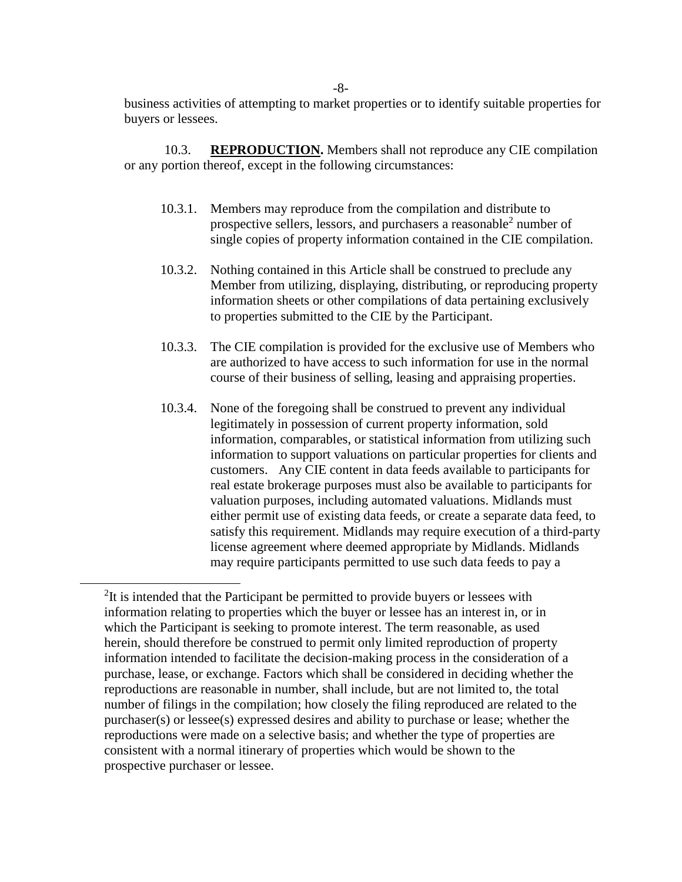#### -8-

business activities of attempting to market properties or to identify suitable properties for buyers or lessees.

10.3. **REPRODUCTION.** Members shall not reproduce any CIE compilation or any portion thereof, except in the following circumstances:

- 10.3.1. Members may reproduce from the compilation and distribute to prospective sellers, lessors, and purchasers a reasonable<sup>2</sup> number of single copies of property information contained in the CIE compilation.
- 10.3.2. Nothing contained in this Article shall be construed to preclude any Member from utilizing, displaying, distributing, or reproducing property information sheets or other compilations of data pertaining exclusively to properties submitted to the CIE by the Participant.
- 10.3.3. The CIE compilation is provided for the exclusive use of Members who are authorized to have access to such information for use in the normal course of their business of selling, leasing and appraising properties.
- 10.3.4. None of the foregoing shall be construed to prevent any individual legitimately in possession of current property information, sold information, comparables, or statistical information from utilizing such information to support valuations on particular properties for clients and customers. Any CIE content in data feeds available to participants for real estate brokerage purposes must also be available to participants for valuation purposes, including automated valuations. Midlands must either permit use of existing data feeds, or create a separate data feed, to satisfy this requirement. Midlands may require execution of a third-party license agreement where deemed appropriate by Midlands. Midlands may require participants permitted to use such data feeds to pay a

 $\overline{a}$ 

 $2$ It is intended that the Participant be permitted to provide buyers or lessees with information relating to properties which the buyer or lessee has an interest in, or in which the Participant is seeking to promote interest. The term reasonable, as used herein, should therefore be construed to permit only limited reproduction of property information intended to facilitate the decision-making process in the consideration of a purchase, lease, or exchange. Factors which shall be considered in deciding whether the reproductions are reasonable in number, shall include, but are not limited to, the total number of filings in the compilation; how closely the filing reproduced are related to the purchaser(s) or lessee(s) expressed desires and ability to purchase or lease; whether the reproductions were made on a selective basis; and whether the type of properties are consistent with a normal itinerary of properties which would be shown to the prospective purchaser or lessee.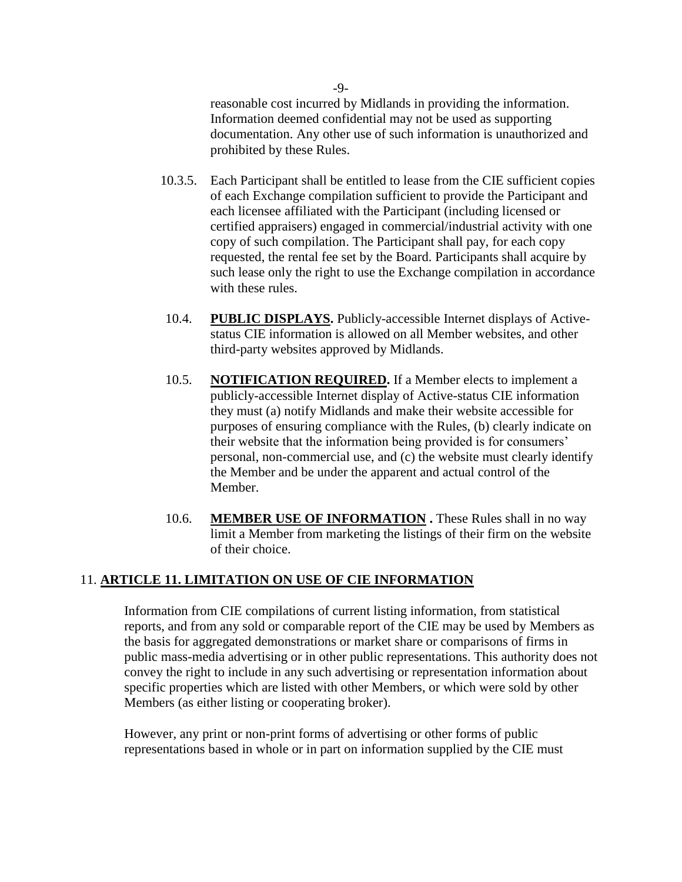reasonable cost incurred by Midlands in providing the information. Information deemed confidential may not be used as supporting documentation. Any other use of such information is unauthorized and prohibited by these Rules.

- 10.3.5. Each Participant shall be entitled to lease from the CIE sufficient copies of each Exchange compilation sufficient to provide the Participant and each licensee affiliated with the Participant (including licensed or certified appraisers) engaged in commercial/industrial activity with one copy of such compilation. The Participant shall pay, for each copy requested, the rental fee set by the Board. Participants shall acquire by such lease only the right to use the Exchange compilation in accordance with these rules.
- 10.4. **PUBLIC DISPLAYS.** Publicly-accessible Internet displays of Activestatus CIE information is allowed on all Member websites, and other third-party websites approved by Midlands.
- 10.5. **NOTIFICATION REQUIRED.** If a Member elects to implement a publicly-accessible Internet display of Active-status CIE information they must (a) notify Midlands and make their website accessible for purposes of ensuring compliance with the Rules, (b) clearly indicate on their website that the information being provided is for consumers' personal, non-commercial use, and (c) the website must clearly identify the Member and be under the apparent and actual control of the Member.
- 10.6. **MEMBER USE OF INFORMATION .** These Rules shall in no way limit a Member from marketing the listings of their firm on the website of their choice.

## 11. **ARTICLE 11. LIMITATION ON USE OF CIE INFORMATION**

Information from CIE compilations of current listing information, from statistical reports, and from any sold or comparable report of the CIE may be used by Members as the basis for aggregated demonstrations or market share or comparisons of firms in public mass-media advertising or in other public representations. This authority does not convey the right to include in any such advertising or representation information about specific properties which are listed with other Members, or which were sold by other Members (as either listing or cooperating broker).

However, any print or non-print forms of advertising or other forms of public representations based in whole or in part on information supplied by the CIE must

-9-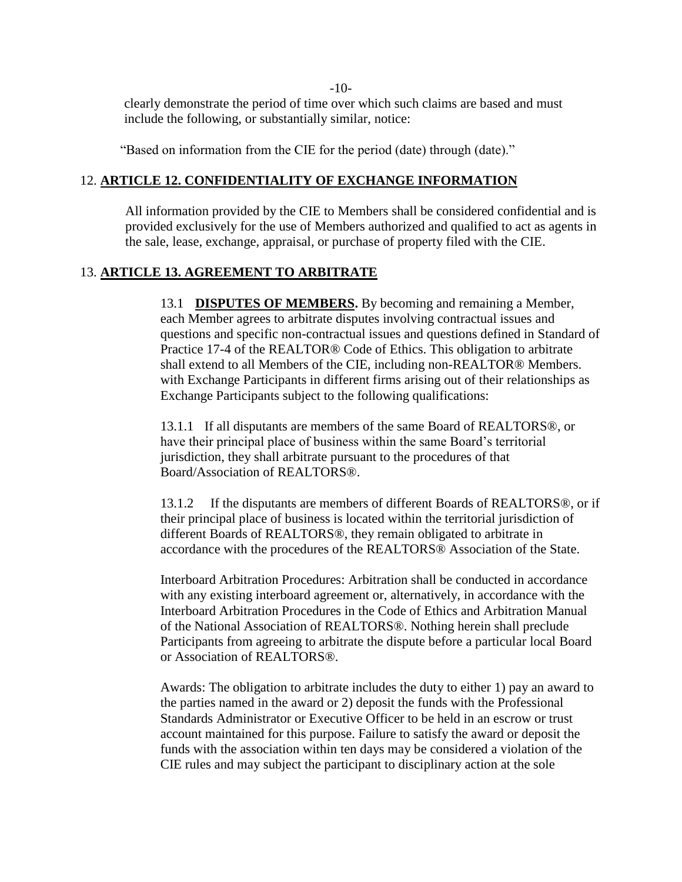-10-

clearly demonstrate the period of time over which such claims are based and must include the following, or substantially similar, notice:

"Based on information from the CIE for the period (date) through (date)."

#### 12. **ARTICLE 12. CONFIDENTIALITY OF EXCHANGE INFORMATION**

All information provided by the CIE to Members shall be considered confidential and is provided exclusively for the use of Members authorized and qualified to act as agents in the sale, lease, exchange, appraisal, or purchase of property filed with the CIE.

#### 13. **ARTICLE 13. AGREEMENT TO ARBITRATE**

13.1 **DISPUTES OF MEMBERS.** By becoming and remaining a Member, each Member agrees to arbitrate disputes involving contractual issues and questions and specific non-contractual issues and questions defined in Standard of Practice 17-4 of the REALTOR® Code of Ethics. This obligation to arbitrate shall extend to all Members of the CIE, including non-REALTOR® Members. with Exchange Participants in different firms arising out of their relationships as Exchange Participants subject to the following qualifications:

13.1.1 If all disputants are members of the same Board of REALTORS®, or have their principal place of business within the same Board's territorial jurisdiction, they shall arbitrate pursuant to the procedures of that Board/Association of REALTORS®.

13.1.2 If the disputants are members of different Boards of REALTORS®, or if their principal place of business is located within the territorial jurisdiction of different Boards of REALTORS®, they remain obligated to arbitrate in accordance with the procedures of the REALTORS® Association of the State.

Interboard Arbitration Procedures: Arbitration shall be conducted in accordance with any existing interboard agreement or, alternatively, in accordance with the Interboard Arbitration Procedures in the Code of Ethics and Arbitration Manual of the National Association of REALTORS®. Nothing herein shall preclude Participants from agreeing to arbitrate the dispute before a particular local Board or Association of REALTORS®.

Awards: The obligation to arbitrate includes the duty to either 1) pay an award to the parties named in the award or 2) deposit the funds with the Professional Standards Administrator or Executive Officer to be held in an escrow or trust account maintained for this purpose. Failure to satisfy the award or deposit the funds with the association within ten days may be considered a violation of the CIE rules and may subject the participant to disciplinary action at the sole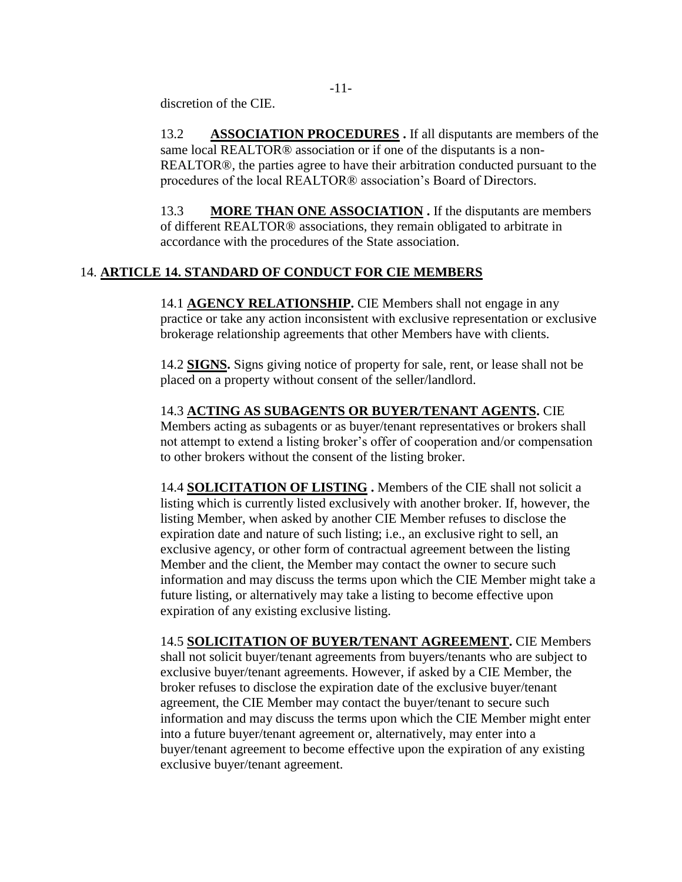discretion of the CIE.

13.2 **ASSOCIATION PROCEDURES .** If all disputants are members of the same local REALTOR® association or if one of the disputants is a non-REALTOR®, the parties agree to have their arbitration conducted pursuant to the procedures of the local REALTOR® association's Board of Directors.

13.3 **MORE THAN ONE ASSOCIATION**. If the disputants are members of different REALTOR® associations, they remain obligated to arbitrate in accordance with the procedures of the State association.

## 14. **ARTICLE 14. STANDARD OF CONDUCT FOR CIE MEMBERS**

14.1 **AGENCY RELATIONSHIP.** CIE Members shall not engage in any practice or take any action inconsistent with exclusive representation or exclusive brokerage relationship agreements that other Members have with clients.

14.2 **SIGNS.** Signs giving notice of property for sale, rent, or lease shall not be placed on a property without consent of the seller/landlord.

14.3 **ACTING AS SUBAGENTS OR BUYER/TENANT AGENTS.** CIE Members acting as subagents or as buyer/tenant representatives or brokers shall not attempt to extend a listing broker's offer of cooperation and/or compensation to other brokers without the consent of the listing broker.

14.4 **SOLICITATION OF LISTING .** Members of the CIE shall not solicit a listing which is currently listed exclusively with another broker. If, however, the listing Member, when asked by another CIE Member refuses to disclose the expiration date and nature of such listing; i.e., an exclusive right to sell, an exclusive agency, or other form of contractual agreement between the listing Member and the client, the Member may contact the owner to secure such information and may discuss the terms upon which the CIE Member might take a future listing, or alternatively may take a listing to become effective upon expiration of any existing exclusive listing.

14.5 **SOLICITATION OF BUYER/TENANT AGREEMENT.** CIE Members shall not solicit buyer/tenant agreements from buyers/tenants who are subject to exclusive buyer/tenant agreements. However, if asked by a CIE Member, the broker refuses to disclose the expiration date of the exclusive buyer/tenant agreement, the CIE Member may contact the buyer/tenant to secure such information and may discuss the terms upon which the CIE Member might enter into a future buyer/tenant agreement or, alternatively, may enter into a buyer/tenant agreement to become effective upon the expiration of any existing exclusive buyer/tenant agreement.